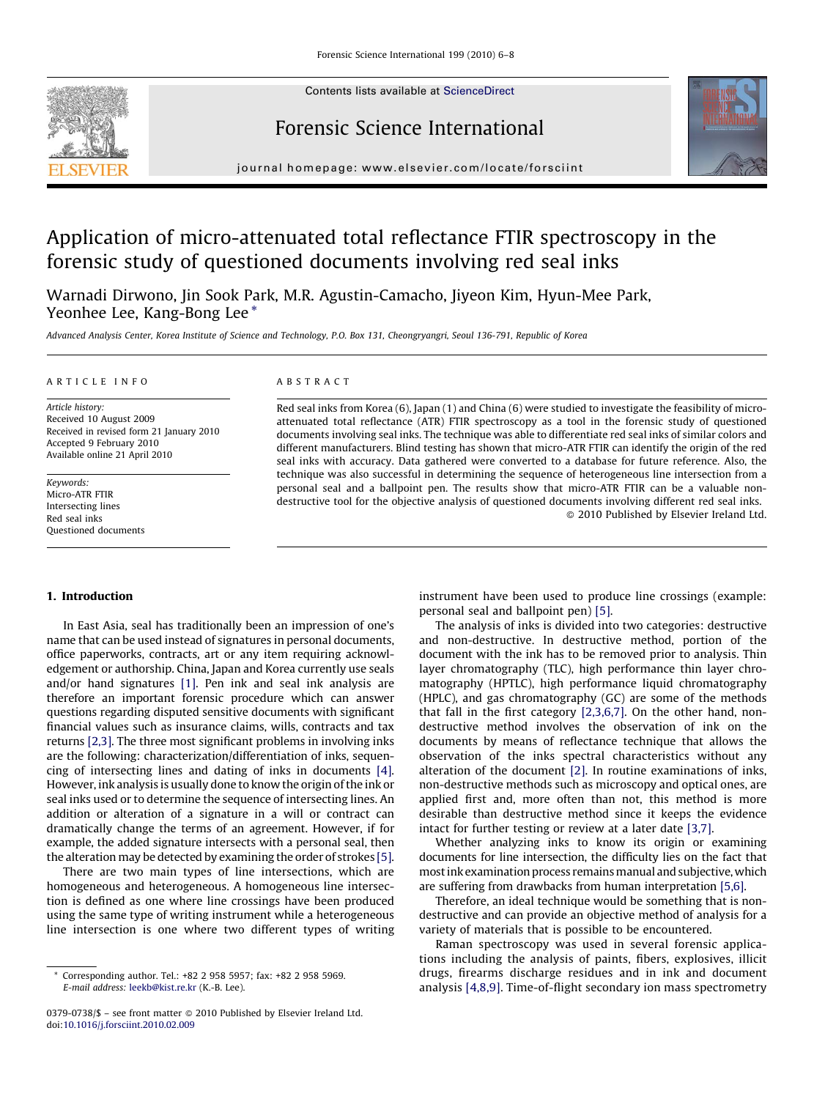Contents lists available at [ScienceDirect](http://www.sciencedirect.com/science/journal/03790738)



## Forensic Science International



journal homepage: www.elsevier.com/locate/forsciint

# Application of micro-attenuated total reflectance FTIR spectroscopy in the forensic study of questioned documents involving red seal inks

Warnadi Dirwono, Jin Sook Park, M.R. Agustin-Camacho, Jiyeon Kim, Hyun-Mee Park, Yeonhee Lee, Kang-Bong Lee \*

Advanced Analysis Center, Korea Institute of Science and Technology, P.O. Box 131, Cheongryangri, Seoul 136-791, Republic of Korea

#### ARTICLE INFO

Article history: Received 10 August 2009 Received in revised form 21 January 2010 Accepted 9 February 2010 Available online 21 April 2010

Keywords: Micro-ATR FTIR Intersecting lines Red seal inks Questioned documents

## ABSTRACT

Red seal inks from Korea (6), Japan (1) and China (6) were studied to investigate the feasibility of microattenuated total reflectance (ATR) FTIR spectroscopy as a tool in the forensic study of questioned documents involving seal inks. The technique was able to differentiate red seal inks of similar colors and different manufacturers. Blind testing has shown that micro-ATR FTIR can identify the origin of the red seal inks with accuracy. Data gathered were converted to a database for future reference. Also, the technique was also successful in determining the sequence of heterogeneous line intersection from a personal seal and a ballpoint pen. The results show that micro-ATR FTIR can be a valuable nondestructive tool for the objective analysis of questioned documents involving different red seal inks. - 2010 Published by Elsevier Ireland Ltd.

#### 1. Introduction

In East Asia, seal has traditionally been an impression of one's name that can be used instead of signatures in personal documents, office paperworks, contracts, art or any item requiring acknowledgement or authorship. China, Japan and Korea currently use seals and/or hand signatures [\[1\]](#page-2-0). Pen ink and seal ink analysis are therefore an important forensic procedure which can answer questions regarding disputed sensitive documents with significant financial values such as insurance claims, wills, contracts and tax returns [\[2,3\].](#page-2-0) The three most significant problems in involving inks are the following: characterization/differentiation of inks, sequencing of intersecting lines and dating of inks in documents [\[4\].](#page-2-0) However, ink analysis is usually done to know the origin of the ink or seal inks used or to determine the sequence of intersecting lines. An addition or alteration of a signature in a will or contract can dramatically change the terms of an agreement. However, if for example, the added signature intersects with a personal seal, then the alteration may be detected by examining the order of strokes [\[5\].](#page-2-0)

There are two main types of line intersections, which are homogeneous and heterogeneous. A homogeneous line intersection is defined as one where line crossings have been produced using the same type of writing instrument while a heterogeneous line intersection is one where two different types of writing instrument have been used to produce line crossings (example: personal seal and ballpoint pen) [\[5\].](#page-2-0)

The analysis of inks is divided into two categories: destructive and non-destructive. In destructive method, portion of the document with the ink has to be removed prior to analysis. Thin layer chromatography (TLC), high performance thin layer chromatography (HPTLC), high performance liquid chromatography (HPLC), and gas chromatography (GC) are some of the methods that fall in the first category [\[2,3,6,7\].](#page-2-0) On the other hand, nondestructive method involves the observation of ink on the documents by means of reflectance technique that allows the observation of the inks spectral characteristics without any alteration of the document [\[2\].](#page-2-0) In routine examinations of inks, non-destructive methods such as microscopy and optical ones, are applied first and, more often than not, this method is more desirable than destructive method since it keeps the evidence intact for further testing or review at a later date [\[3,7\].](#page-2-0)

Whether analyzing inks to know its origin or examining documents for line intersection, the difficulty lies on the fact that most ink examination process remains manual and subjective, which are suffering from drawbacks from human interpretation [\[5,6\]](#page-2-0).

Therefore, an ideal technique would be something that is nondestructive and can provide an objective method of analysis for a variety of materials that is possible to be encountered.

Raman spectroscopy was used in several forensic applications including the analysis of paints, fibers, explosives, illicit drugs, firearms discharge residues and in ink and document analysis [\[4,8,9\]](#page-2-0). Time-of-flight secondary ion mass spectrometry

<sup>\*</sup> Corresponding author. Tel.: +82 2 958 5957; fax: +82 2 958 5969. E-mail address: [leekb@kist.re.kr](mailto:leekb@kist.re.kr) (K.-B. Lee).

<sup>0379-0738/\$ –</sup> see front matter @ 2010 Published by Elsevier Ireland Ltd. doi:[10.1016/j.forsciint.2010.02.009](http://dx.doi.org/10.1016/j.forsciint.2010.02.009)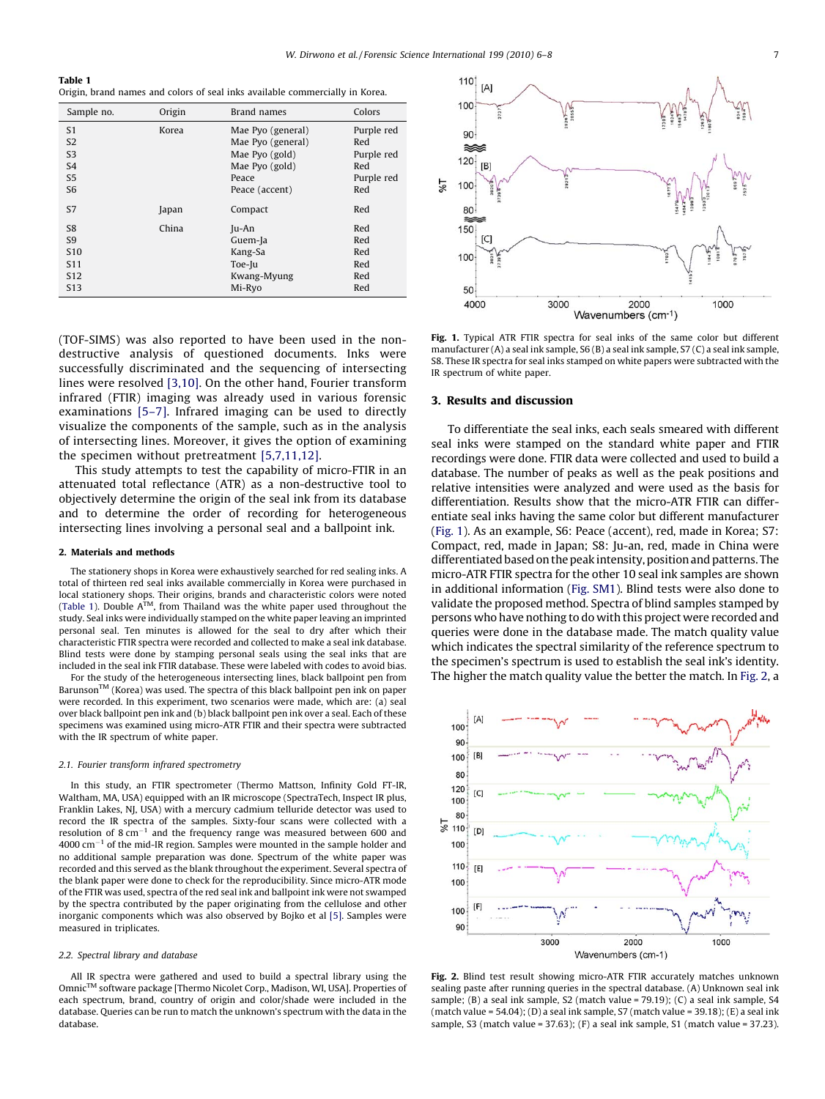## Table 1

Origin, brand names and colors of seal inks available commercially in Korea.

| Sample no.      | Origin | Brand names       | Colors     |
|-----------------|--------|-------------------|------------|
| S1              | Korea  | Mae Pyo (general) | Purple red |
| S <sub>2</sub>  |        | Mae Pyo (general) | Red        |
| S <sub>3</sub>  |        | Mae Pyo (gold)    | Purple red |
| S <sub>4</sub>  |        | Mae Pyo (gold)    | Red        |
| S <sub>5</sub>  |        | Peace             | Purple red |
| S <sub>6</sub>  |        | Peace (accent)    | Red        |
| S7              | Japan  | Compact           | Red        |
| S <sub>8</sub>  | China  | Ju-An             | Red        |
| S <sub>9</sub>  |        | Guem-Ja           | Red        |
| S <sub>10</sub> |        | Kang-Sa           | Red        |
| S <sub>11</sub> |        | Toe-Ju            | Red        |
| S <sub>12</sub> |        | Kwang-Myung       | Red        |
| S <sub>13</sub> |        | Mi-Ryo            | Red        |

(TOF-SIMS) was also reported to have been used in the nondestructive analysis of questioned documents. Inks were successfully discriminated and the sequencing of intersecting lines were resolved [\[3,10\].](#page-2-0) On the other hand, Fourier transform infrared (FTIR) imaging was already used in various forensic examinations [\[5–7\]](#page-2-0). Infrared imaging can be used to directly visualize the components of the sample, such as in the analysis of intersecting lines. Moreover, it gives the option of examining the specimen without pretreatment [\[5,7,11,12\]](#page-2-0).

This study attempts to test the capability of micro-FTIR in an attenuated total reflectance (ATR) as a non-destructive tool to objectively determine the origin of the seal ink from its database and to determine the order of recording for heterogeneous intersecting lines involving a personal seal and a ballpoint ink.

#### 2. Materials and methods

The stationery shops in Korea were exhaustively searched for red sealing inks. A total of thirteen red seal inks available commercially in Korea were purchased in local stationery shops. Their origins, brands and characteristic colors were noted (Table 1). Double  $A^{TM}$ , from Thailand was the white paper used throughout the study. Seal inks were individually stamped on the white paper leaving an imprinted personal seal. Ten minutes is allowed for the seal to dry after which their characteristic FTIR spectra were recorded and collected to make a seal ink database. Blind tests were done by stamping personal seals using the seal inks that are included in the seal ink FTIR database. These were labeled with codes to avoid bias.

For the study of the heterogeneous intersecting lines, black ballpoint pen from Barunson<sup>™</sup> (Korea) was used. The spectra of this black ballpoint pen ink on paper were recorded. In this experiment, two scenarios were made, which are: (a) seal over black ballpoint pen ink and (b) black ballpoint pen ink over a seal. Each of these specimens was examined using micro-ATR FTIR and their spectra were subtracted with the IR spectrum of white paper.

#### 2.1. Fourier transform infrared spectrometry

In this study, an FTIR spectrometer (Thermo Mattson, Infinity Gold FT-IR, Waltham, MA, USA) equipped with an IR microscope (SpectraTech, Inspect IR plus, Franklin Lakes, NJ, USA) with a mercury cadmium telluride detector was used to record the IR spectra of the samples. Sixty-four scans were collected with a resolution of  $8 \text{ cm}^{-1}$  and the frequency range was measured between 600 and  $4000$  cm<sup>-1</sup> of the mid-IR region. Samples were mounted in the sample holder and no additional sample preparation was done. Spectrum of the white paper was recorded and this served as the blank throughout the experiment. Several spectra of the blank paper were done to check for the reproducibility. Since micro-ATR mode of the FTIR was used, spectra of the red seal ink and ballpoint ink were not swamped by the spectra contributed by the paper originating from the cellulose and other inorganic components which was also observed by Bojko et al [\[5\].](#page-2-0) Samples were measured in triplicates.

#### 2.2. Spectral library and database

All IR spectra were gathered and used to build a spectral library using the OmnicTM software package [Thermo Nicolet Corp., Madison, WI, USA]. Properties of each spectrum, brand, country of origin and color/shade were included in the database. Queries can be run to match the unknown's spectrum with the data in the database.



Fig. 1. Typical ATR FTIR spectra for seal inks of the same color but different manufacturer (A) a seal ink sample, S6 (B) a seal ink sample, S7 (C) a seal ink sample, S8. These IR spectra for seal inks stamped on white papers were subtracted with the IR spectrum of white paper.

## 3. Results and discussion

To differentiate the seal inks, each seals smeared with different seal inks were stamped on the standard white paper and FTIR recordings were done. FTIR data were collected and used to build a database. The number of peaks as well as the peak positions and relative intensities were analyzed and were used as the basis for differentiation. Results show that the micro-ATR FTIR can differentiate seal inks having the same color but different manufacturer (Fig. 1). As an example, S6: Peace (accent), red, made in Korea; S7: Compact, red, made in Japan; S8: Ju-an, red, made in China were differentiated based on the peak intensity, position and patterns. The micro-ATR FTIR spectra for the other 10 seal ink samples are shown in additional information (Fig. SM1). Blind tests were also done to validate the proposed method. Spectra of blind samples stamped by persons who have nothing to do with this project were recorded and queries were done in the database made. The match quality value which indicates the spectral similarity of the reference spectrum to the specimen's spectrum is used to establish the seal ink's identity. The higher the match quality value the better the match. In Fig. 2, a



Fig. 2. Blind test result showing micro-ATR FTIR accurately matches unknown sealing paste after running queries in the spectral database. (A) Unknown seal ink sample; (B) a seal ink sample, S2 (match value = 79.19); (C) a seal ink sample, S4 (match value = 54.04); (D) a seal ink sample, S7 (match value = 39.18); (E) a seal ink sample, S3 (match value = 37.63); (F) a seal ink sample, S1 (match value = 37.23).